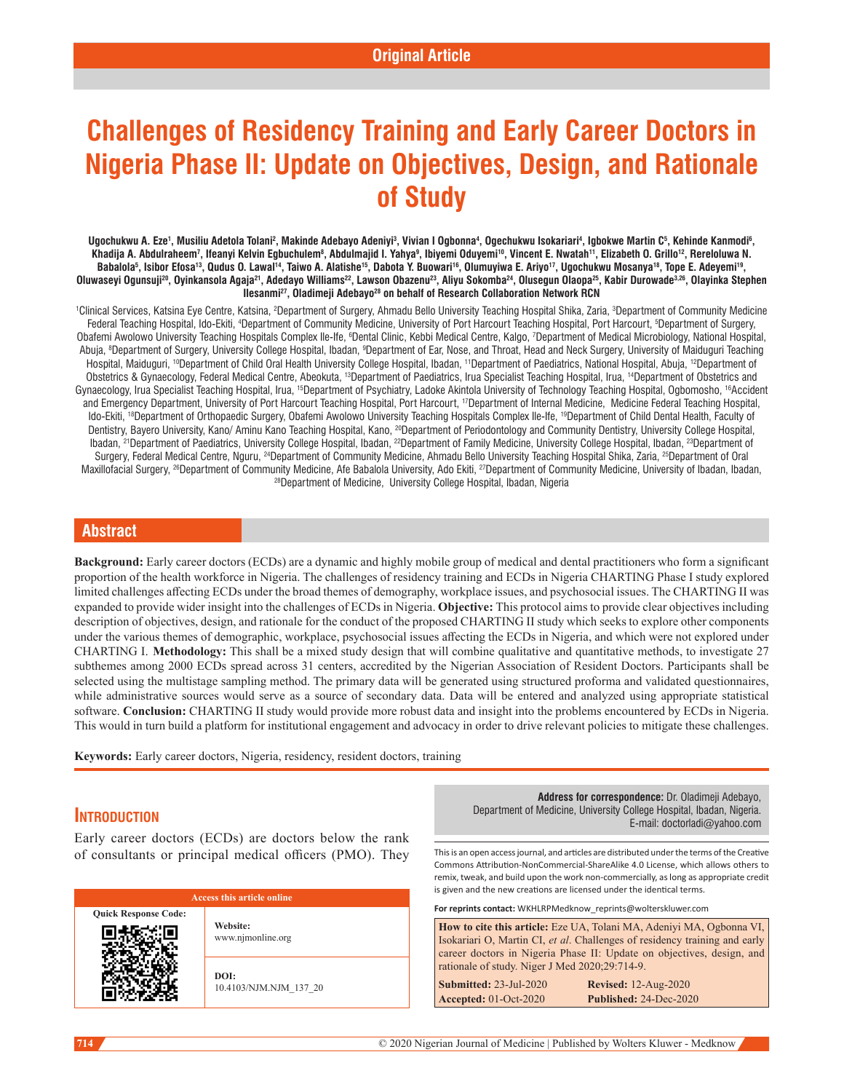# **Challenges of Residency Training and Early Career Doctors in Nigeria Phase II: Update on Objectives, Design, and Rationale of Study**

Ugochukwu A. Eze', Musiliu Adetola Tolani<sup>2</sup>, Makinde Adebayo Adeniyi<sup>3</sup>, Vivian I Ogbonna<sup>4</sup>, Ogechukwu Isokariari<sup>4</sup>, Igbokwe Martin C<sup>s</sup>, Kehinde Kanmodi<sup>6</sup>, Khadija A. Abdulraheem<sup>7</sup>, Ifeanyi Kelvin Egbuchulem<sup>8</sup>, Abdulmajid I. Yahya<sup>9</sup>, Ibiyemi Oduyemi<sup>10</sup>, Vincent E. Nwatah<sup>11</sup>, Elizabeth O. Grillo<sup>12</sup>, Rereloluwa N. Babalola<sup>5</sup>, Isibor Efosa<sup>13</sup>, Qudus O. Lawal<sup>14</sup>, Taiwo A. Alatishe<sup>15</sup>, Dabota Y. Buowari<sup>16</sup>, Olumuyiwa E. Ariyo<sup>17</sup>, Ugochukwu Mosanya<sup>18</sup>, Tope E. Adeyemi<sup>19</sup>, Oluwaseyi Ogunsuji<sup>20</sup>, Oyinkansola Agaja<sup>21</sup>, Adedayo Williams<sup>22</sup>, Lawson Obazenu<sup>23</sup>, Aliyu Sokomba<sup>24</sup>, Olusegun Olaopa<sup>25</sup>, Kabir Durowade<sup>3,26</sup>, Olayinka Stephen **Ilesanmi27, Oladimeji Adebayo28 on behalf of Research Collaboration Network RCN**

'Clinical Services, Katsina Eye Centre, Katsina, <sup>2</sup>Department of Surgery, Ahmadu Bello University Teaching Hospital Shika, Zaria, <sup>3</sup>Department of Community Medicine Federal Teaching Hospital, Ido-Ekiti, <sup>4</sup>Department of Community Medicine, University of Port Harcourt Teaching Hospital, Port Harcourt, <sup>s</sup>Department of Surgery, Obafemi Awolowo University Teaching Hospitals Complex Ile-Ife, <sup>6</sup>Dental Clinic, Kebbi Medical Centre, Kalgo, <sup>7</sup>Department of Medical Microbiology, National Hospital, Abuja, <sup>8</sup>Department of Surgery, University College Hospital, Ibadan, <sup>9</sup>Department of Ear, Nose, and Throat, Head and Neck Surgery, University of Maiduguri Teaching Hospital, Maiduguri, <sup>10</sup>Department of Child Oral Health University College Hospital, Ibadan, <sup>11</sup>Department of Paediatrics, National Hospital, Abuja, <sup>12</sup>Department of Obstetrics & Gynaecology, Federal Medical Centre, Abeokuta, 13Department of Paediatrics, Irua Specialist Teaching Hospital, Irua, 14Department of Obstetrics and Gynaecology, Irua Specialist Teaching Hospital, Irua, <sup>15</sup>Department of Psychiatry, Ladoke Akintola University of Technology Teaching Hospital, Ogbomosho, <sup>16</sup>Accident and Emergency Department, University of Port Harcourt Teaching Hospital, Port Harcourt, 17Department of Internal Medicine, Medicine Federal Teaching Hospital, Ido-Ekiti, <sup>18</sup>Department of Orthopaedic Surgery, Obafemi Awolowo University Teaching Hospitals Complex Ile-Ife, <sup>19</sup>Department of Child Dental Health, Faculty of Dentistry, Bayero University, Kano/ Aminu Kano Teaching Hospital, Kano, <sup>20</sup>Department of Periodontology and Community Dentistry, University College Hospital, Ibadan, <sup>21</sup>Department of Paediatrics, University College Hospital, Ibadan, <sup>22</sup>Department of Family Medicine, University College Hospital, Ibadan, <sup>23</sup>Department of Surgery, Federal Medical Centre, Nguru, <sup>24</sup>Department of Community Medicine, Ahmadu Bello University Teaching Hospital Shika, Zaria, <sup>25</sup>Department of Oral Maxillofacial Surgery, <sup>26</sup>Department of Community Medicine, Afe Babalola University, Ado Ekiti, <sup>27</sup>Department of Community Medicine, University of Ibadan, Ibadan, Ibadan, 1930 epartment of Medicine, University College Ho

# **Abstract**

**Background:** Early career doctors (ECDs) are a dynamic and highly mobile group of medical and dental practitioners who form a significant proportion of the health workforce in Nigeria. The challenges of residency training and ECDs in Nigeria CHARTING Phase I study explored limited challenges affecting ECDs under the broad themes of demography, workplace issues, and psychosocial issues. The CHARTING II was expanded to provide wider insight into the challenges of ECDs in Nigeria. **Objective:** This protocol aims to provide clear objectives including description of objectives, design, and rationale for the conduct of the proposed CHARTING II study which seeks to explore other components under the various themes of demographic, workplace, psychosocial issues affecting the ECDs in Nigeria, and which were not explored under CHARTING I. **Methodology:** This shall be a mixed study design that will combine qualitative and quantitative methods, to investigate 27 subthemes among 2000 ECDs spread across 31 centers, accredited by the Nigerian Association of Resident Doctors. Participants shall be selected using the multistage sampling method. The primary data will be generated using structured proforma and validated questionnaires, while administrative sources would serve as a source of secondary data. Data will be entered and analyzed using appropriate statistical software. **Conclusion:** CHARTING II study would provide more robust data and insight into the problems encountered by ECDs in Nigeria. This would in turn build a platform for institutional engagement and advocacy in order to drive relevant policies to mitigate these challenges.

**Keywords:** Early career doctors, Nigeria, residency, resident doctors, training

# **Introduction**

Early career doctors (ECDs) are doctors below the rank of consultants or principal medical officers (PMO). They

| <b>Access this article online</b> |                                |
|-----------------------------------|--------------------------------|
| <b>Quick Response Code:</b>       | Website:<br>www.njmonline.org  |
|                                   | DOI:<br>10.4103/NJM.NJM 137 20 |

**Address for correspondence:** Dr. Oladimeji Adebayo, Department of Medicine, University College Hospital, Ibadan, Nigeria. E-mail: doctorladi@yahoo.com

This is an open access journal, and articles are distributed under the terms of the Creative Commons Attribution‑NonCommercial‑ShareAlike 4.0 License, which allows others to remix, tweak, and build upon the work non‑commercially, as long as appropriate credit is given and the new creations are licensed under the identical terms.

**For reprints contact:** WKHLRPMedknow\_reprints@wolterskluwer.com

**How to cite this article:** Eze UA, Tolani MA, Adeniyi MA, Ogbonna VI, Isokariari O, Martin CI, *et al*. Challenges of residency training and early career doctors in Nigeria Phase II: Update on objectives, design, and rationale of study. Niger J Med 2020;29:714-9.

**Submitted:** 23-Jul-2020 **Revised:** 12-Aug-2020 **Accepted:** 01-Oct-2020 **Published:** 24-Dec-2020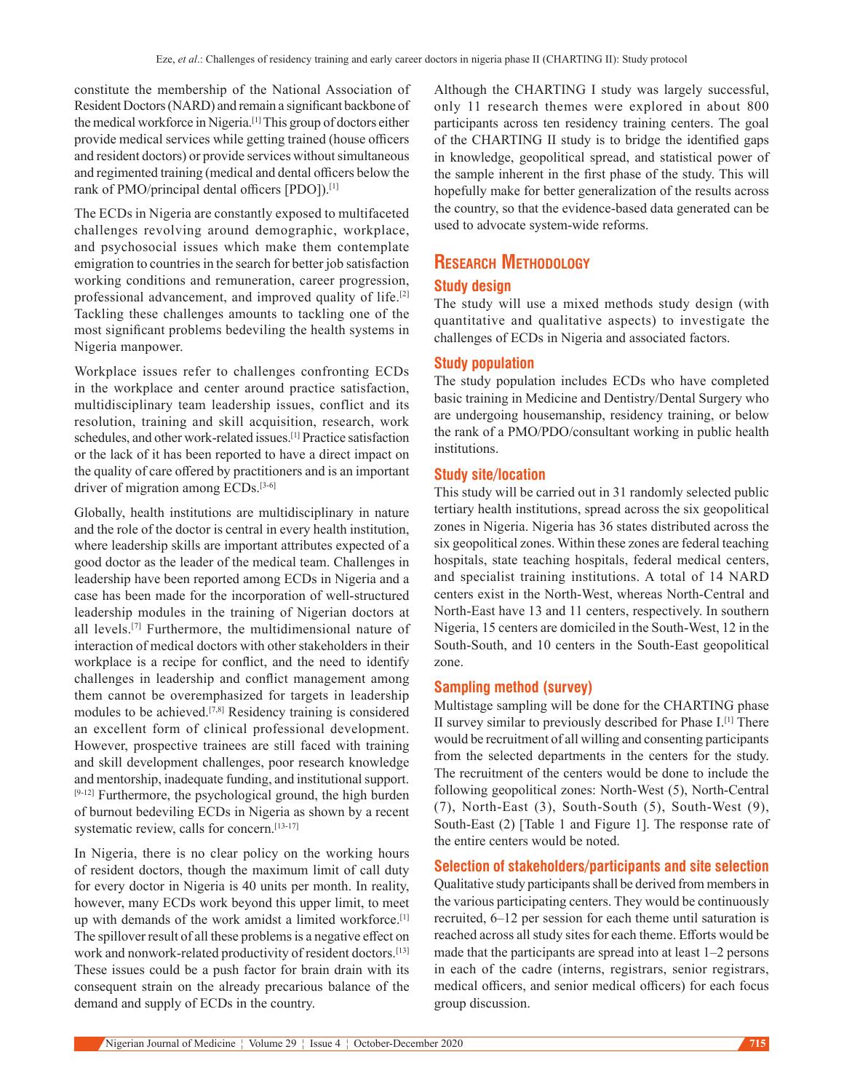constitute the membership of the National Association of Resident Doctors(NARD) and remain a significant backbone of the medical workforce in Nigeria.[1] This group of doctors either provide medical services while getting trained (house officers and resident doctors) or provide services without simultaneous and regimented training (medical and dental officers below the rank of PMO/principal dental officers [PDO]).[1]

The ECDs in Nigeria are constantly exposed to multifaceted challenges revolving around demographic, workplace, and psychosocial issues which make them contemplate emigration to countries in the search for better job satisfaction working conditions and remuneration, career progression, professional advancement, and improved quality of life.[2] Tackling these challenges amounts to tackling one of the most significant problems bedeviling the health systems in Nigeria manpower.

Workplace issues refer to challenges confronting ECDs in the workplace and center around practice satisfaction, multidisciplinary team leadership issues, conflict and its resolution, training and skill acquisition, research, work schedules, and other work-related issues.<sup>[1]</sup> Practice satisfaction or the lack of it has been reported to have a direct impact on the quality of care offered by practitioners and is an important driver of migration among ECDs.<sup>[3-6]</sup>

Globally, health institutions are multidisciplinary in nature and the role of the doctor is central in every health institution, where leadership skills are important attributes expected of a good doctor as the leader of the medical team. Challenges in leadership have been reported among ECDs in Nigeria and a case has been made for the incorporation of well‑structured leadership modules in the training of Nigerian doctors at all levels.[7] Furthermore, the multidimensional nature of interaction of medical doctors with other stakeholders in their workplace is a recipe for conflict, and the need to identify challenges in leadership and conflict management among them cannot be overemphasized for targets in leadership modules to be achieved.[7,8] Residency training is considered an excellent form of clinical professional development. However, prospective trainees are still faced with training and skill development challenges, poor research knowledge and mentorship, inadequate funding, and institutional support. [9-12] Furthermore, the psychological ground, the high burden of burnout bedeviling ECDs in Nigeria as shown by a recent systematic review, calls for concern.<sup>[13-17]</sup>

In Nigeria, there is no clear policy on the working hours of resident doctors, though the maximum limit of call duty for every doctor in Nigeria is 40 units per month. In reality, however, many ECDs work beyond this upper limit, to meet up with demands of the work amidst a limited workforce.[1] The spillover result of all these problems is a negative effect on work and nonwork-related productivity of resident doctors.<sup>[13]</sup> These issues could be a push factor for brain drain with its consequent strain on the already precarious balance of the demand and supply of ECDs in the country.

Although the CHARTING I study was largely successful, only 11 research themes were explored in about 800 participants across ten residency training centers. The goal of the CHARTING II study is to bridge the identified gaps in knowledge, geopolitical spread, and statistical power of the sample inherent in the first phase of the study. This will hopefully make for better generalization of the results across the country, so that the evidence-based data generated can be used to advocate system‑wide reforms.

# **Research Methodology**

#### **Study design**

The study will use a mixed methods study design (with quantitative and qualitative aspects) to investigate the challenges of ECDs in Nigeria and associated factors.

#### **Study population**

The study population includes ECDs who have completed basic training in Medicine and Dentistry/Dental Surgery who are undergoing housemanship, residency training, or below the rank of a PMO/PDO/consultant working in public health institutions.

#### **Study site/location**

This study will be carried out in 31 randomly selected public tertiary health institutions, spread across the six geopolitical zones in Nigeria. Nigeria has 36 states distributed across the six geopolitical zones. Within these zones are federal teaching hospitals, state teaching hospitals, federal medical centers, and specialist training institutions. A total of 14 NARD centers exist in the North‑West, whereas North‑Central and North-East have 13 and 11 centers, respectively. In southern Nigeria, 15 centers are domiciled in the South-West, 12 in the South-South, and 10 centers in the South-East geopolitical zone.

#### **Sampling method (survey)**

Multistage sampling will be done for the CHARTING phase II survey similar to previously described for Phase I.[1] There would be recruitment of all willing and consenting participants from the selected departments in the centers for the study. The recruitment of the centers would be done to include the following geopolitical zones: North‑West (5), North‑Central  $(7)$ , North-East  $(3)$ , South-South  $(5)$ , South-West  $(9)$ , South-East (2) [Table 1 and Figure 1]. The response rate of the entire centers would be noted.

#### **Selection of stakeholders/participants and site selection**

Qualitative study participants shall be derived from members in the various participating centers. They would be continuously recruited, 6–12 per session for each theme until saturation is reached across all study sites for each theme. Efforts would be made that the participants are spread into at least 1–2 persons in each of the cadre (interns, registrars, senior registrars, medical officers, and senior medical officers) for each focus group discussion.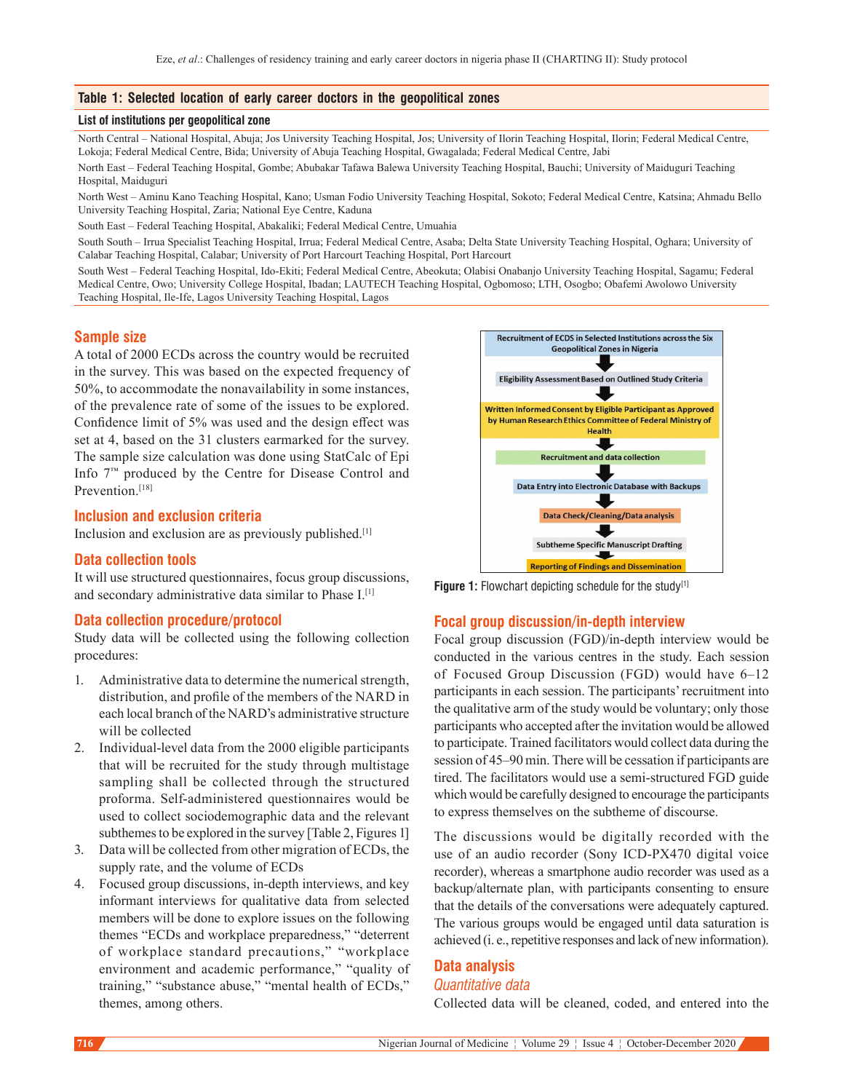# **Table 1: Selected location of early career doctors in the geopolitical zones**

#### **List of institutions per geopolitical zone**

North Central – National Hospital, Abuja; Jos University Teaching Hospital, Jos; University of Ilorin Teaching Hospital, Ilorin; Federal Medical Centre, Lokoja; Federal Medical Centre, Bida; University of Abuja Teaching Hospital, Gwagalada; Federal Medical Centre, Jabi

North East – Federal Teaching Hospital, Gombe; Abubakar Tafawa Balewa University Teaching Hospital, Bauchi; University of Maiduguri Teaching Hospital, Maiduguri

North West – Aminu Kano Teaching Hospital, Kano; Usman Fodio University Teaching Hospital, Sokoto; Federal Medical Centre, Katsina; Ahmadu Bello University Teaching Hospital, Zaria; National Eye Centre, Kaduna

South East – Federal Teaching Hospital, Abakaliki; Federal Medical Centre, Umuahia

South South – Irrua Specialist Teaching Hospital, Irrua; Federal Medical Centre, Asaba; Delta State University Teaching Hospital, Oghara; University of Calabar Teaching Hospital, Calabar; University of Port Harcourt Teaching Hospital, Port Harcourt

South West – Federal Teaching Hospital, Ido-Ekiti; Federal Medical Centre, Abeokuta; Olabisi Onabanjo University Teaching Hospital, Sagamu; Federal Medical Centre, Owo; University College Hospital, Ibadan; LAUTECH Teaching Hospital, Ogbomoso; LTH, Osogbo; Obafemi Awolowo University Teaching Hospital, Ile-Ife, Lagos University Teaching Hospital, Lagos

#### **Sample size**

A total of 2000 ECDs across the country would be recruited in the survey. This was based on the expected frequency of 50%, to accommodate the nonavailability in some instances, of the prevalence rate of some of the issues to be explored. Confidence limit of 5% was used and the design effect was set at 4, based on the 31 clusters earmarked for the survey. The sample size calculation was done using StatCalc of Epi Info 7™ produced by the Centre for Disease Control and Prevention.<sup>[18]</sup>

# **Inclusion and exclusion criteria**

Inclusion and exclusion are as previously published.[1]

### **Data collection tools**

It will use structured questionnaires, focus group discussions, and secondary administrative data similar to Phase I.<sup>[1]</sup>

#### **Data collection procedure/protocol**

Study data will be collected using the following collection procedures:

- 1. Administrative data to determine the numerical strength, distribution, and profile of the members of the NARD in each local branch of the NARD's administrative structure will be collected
- 2. Individual-level data from the 2000 eligible participants that will be recruited for the study through multistage sampling shall be collected through the structured proforma. Self‑administered questionnaires would be used to collect sociodemographic data and the relevant subthemes to be explored in the survey [Table 2, Figures 1]
- 3. Data will be collected from other migration of ECDs, the supply rate, and the volume of ECDs
- 4. Focused group discussions, in‑depth interviews, and key informant interviews for qualitative data from selected members will be done to explore issues on the following themes "ECDs and workplace preparedness," "deterrent of workplace standard precautions," "workplace environment and academic performance," "quality of training," "substance abuse," "mental health of ECDs," themes, among others.



**Figure 1:** Flowchart depicting schedule for the study<sup>[1]</sup>

#### **Focal group discussion/in-depth interview**

Focal group discussion (FGD)/in‑depth interview would be conducted in the various centres in the study. Each session of  Focused Group Discussion (FGD) would have 6–12 participants in each session. The participants' recruitment into the qualitative arm of the study would be voluntary; only those participants who accepted after the invitation would be allowed to participate. Trained facilitators would collect data during the session of 45–90 min. There will be cessation if participants are tired. The facilitators would use a semi‑structured FGD guide which would be carefully designed to encourage the participants to express themselves on the subtheme of discourse.

The discussions would be digitally recorded with the use of an audio recorder (Sony ICD‑PX470 digital voice recorder), whereas a smartphone audio recorder was used as a backup/alternate plan, with participants consenting to ensure that the details of the conversations were adequately captured. The various groups would be engaged until data saturation is achieved (i. e., repetitive responses and lack of new information).

# **Data analysis**

# *Quantitative data*

Collected data will be cleaned, coded, and entered into the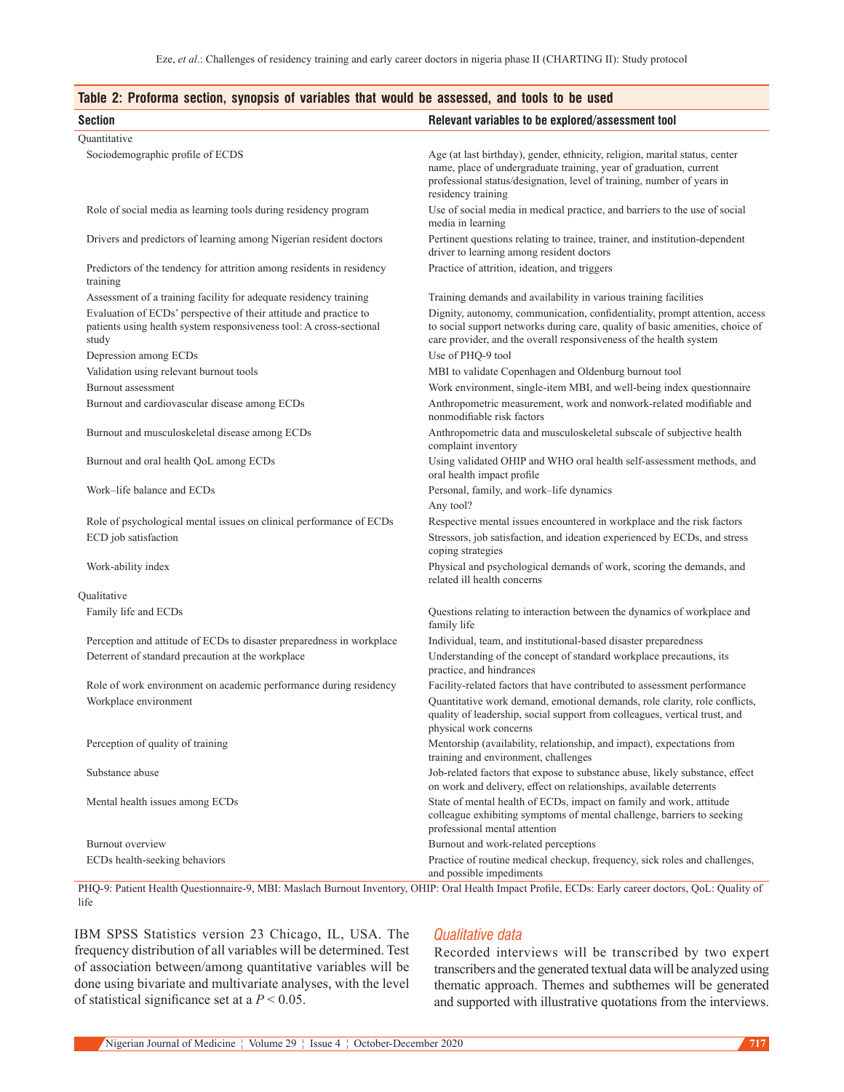# **Table 2: Proforma section, synopsis of variables that would be assessed, and tools to be used**

| <b>Section</b>                                                                                                                                    | Relevant variables to be explored/assessment tool                                                                                                                                                                                                 |
|---------------------------------------------------------------------------------------------------------------------------------------------------|---------------------------------------------------------------------------------------------------------------------------------------------------------------------------------------------------------------------------------------------------|
| Quantitative                                                                                                                                      |                                                                                                                                                                                                                                                   |
| Sociodemographic profile of ECDS                                                                                                                  | Age (at last birthday), gender, ethnicity, religion, marital status, center<br>name, place of undergraduate training, year of graduation, current<br>professional status/designation, level of training, number of years in<br>residency training |
| Role of social media as learning tools during residency program                                                                                   | Use of social media in medical practice, and barriers to the use of social<br>media in learning                                                                                                                                                   |
| Drivers and predictors of learning among Nigerian resident doctors                                                                                | Pertinent questions relating to trainee, trainer, and institution-dependent<br>driver to learning among resident doctors                                                                                                                          |
| Predictors of the tendency for attrition among residents in residency<br>training                                                                 | Practice of attrition, ideation, and triggers                                                                                                                                                                                                     |
| Assessment of a training facility for adequate residency training                                                                                 | Training demands and availability in various training facilities                                                                                                                                                                                  |
| Evaluation of ECDs' perspective of their attitude and practice to<br>patients using health system responsiveness tool: A cross-sectional<br>study | Dignity, autonomy, communication, confidentiality, prompt attention, access<br>to social support networks during care, quality of basic amenities, choice of<br>care provider, and the overall responsiveness of the health system                |
| Depression among ECDs                                                                                                                             | Use of PHQ-9 tool                                                                                                                                                                                                                                 |
| Validation using relevant burnout tools                                                                                                           | MBI to validate Copenhagen and Oldenburg burnout tool                                                                                                                                                                                             |
| Burnout assessment                                                                                                                                | Work environment, single-item MBI, and well-being index questionnaire                                                                                                                                                                             |
| Burnout and cardiovascular disease among ECDs                                                                                                     | Anthropometric measurement, work and nonwork-related modifiable and<br>nonmodifiable risk factors                                                                                                                                                 |
| Burnout and musculoskeletal disease among ECDs                                                                                                    | Anthropometric data and musculoskeletal subscale of subjective health<br>complaint inventory                                                                                                                                                      |
| Burnout and oral health QoL among ECDs                                                                                                            | Using validated OHIP and WHO oral health self-assessment methods, and<br>oral health impact profile                                                                                                                                               |
| Work-life balance and ECDs                                                                                                                        | Personal, family, and work-life dynamics<br>Any tool?                                                                                                                                                                                             |
| Role of psychological mental issues on clinical performance of ECDs                                                                               | Respective mental issues encountered in workplace and the risk factors                                                                                                                                                                            |
| ECD job satisfaction                                                                                                                              | Stressors, job satisfaction, and ideation experienced by ECDs, and stress<br>coping strategies                                                                                                                                                    |
| Work-ability index                                                                                                                                | Physical and psychological demands of work, scoring the demands, and<br>related ill health concerns                                                                                                                                               |
| Qualitative                                                                                                                                       |                                                                                                                                                                                                                                                   |
| Family life and ECDs                                                                                                                              | Questions relating to interaction between the dynamics of workplace and<br>family life                                                                                                                                                            |
| Perception and attitude of ECDs to disaster preparedness in workplace                                                                             | Individual, team, and institutional-based disaster preparedness                                                                                                                                                                                   |
| Deterrent of standard precaution at the workplace                                                                                                 | Understanding of the concept of standard workplace precautions, its<br>practice, and hindrances                                                                                                                                                   |
| Role of work environment on academic performance during residency                                                                                 | Facility-related factors that have contributed to assessment performance                                                                                                                                                                          |
| Workplace environment                                                                                                                             | Quantitative work demand, emotional demands, role clarity, role conflicts,<br>quality of leadership, social support from colleagues, vertical trust, and<br>physical work concerns                                                                |
| Perception of quality of training                                                                                                                 | Mentorship (availability, relationship, and impact), expectations from<br>training and environment, challenges                                                                                                                                    |
| Substance abuse                                                                                                                                   | Job-related factors that expose to substance abuse, likely substance, effect<br>on work and delivery, effect on relationships, available deterrents                                                                                               |
| Mental health issues among ECDs                                                                                                                   | State of mental health of ECDs, impact on family and work, attitude<br>colleague exhibiting symptoms of mental challenge, barriers to seeking<br>professional mental attention                                                                    |
| Burnout overview                                                                                                                                  | Burnout and work-related perceptions                                                                                                                                                                                                              |
| ECDs health-seeking behaviors                                                                                                                     | Practice of routine medical checkup, frequency, sick roles and challenges,<br>and possible impediments                                                                                                                                            |

PHQ-9: Patient Health Questionnaire-9, MBI: Maslach Burnout Inventory, OHIP: Oral Health Impact Profile, ECDs: Early career doctors, QoL: Quality of life

IBM SPSS Statistics version 23 Chicago, IL, USA. The frequency distribution of all variables will be determined. Test of association between/among quantitative variables will be done using bivariate and multivariate analyses, with the level of statistical significance set at a *P* < 0.05.

#### *Qualitative data*

Recorded interviews will be transcribed by two expert transcribers and the generated textual data will be analyzed using thematic approach. Themes and subthemes will be generated and supported with illustrative quotations from the interviews.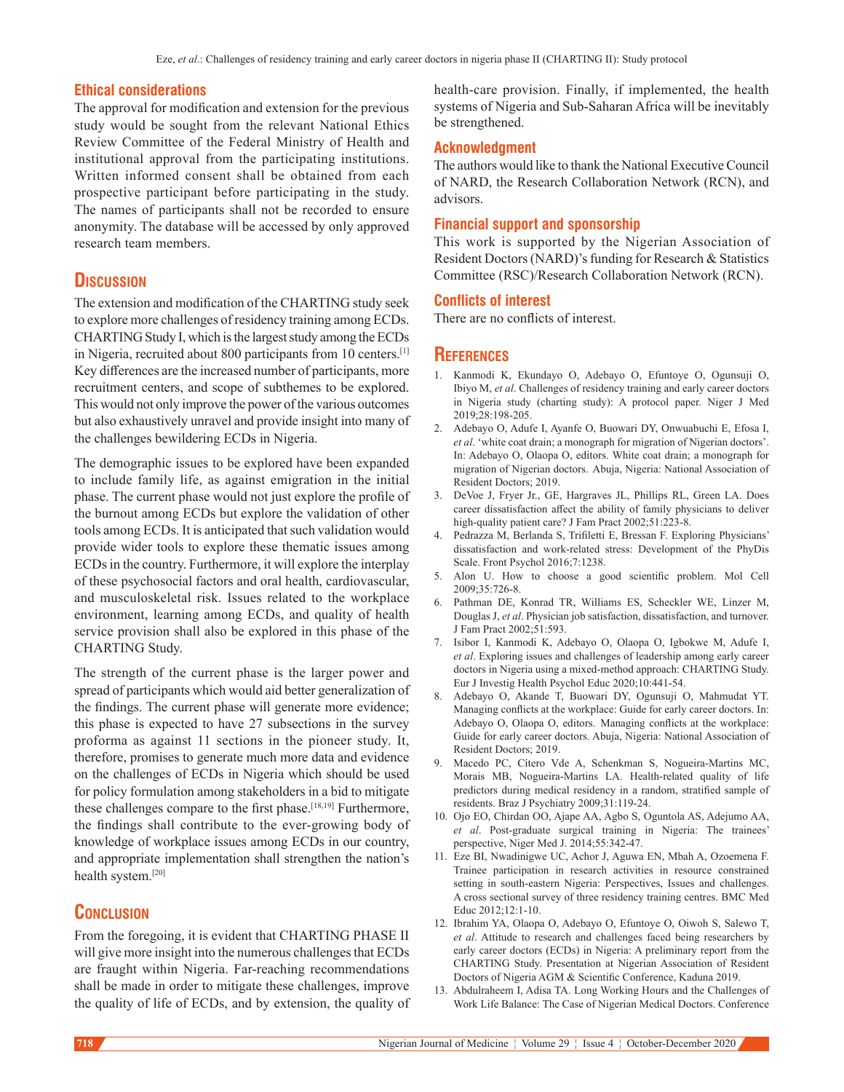#### **Ethical considerations**

The approval for modification and extension for the previous study would be sought from the relevant National Ethics Review Committee of the Federal Ministry of Health and institutional approval from the participating institutions. Written informed consent shall be obtained from each prospective participant before participating in the study. The names of participants shall not be recorded to ensure anonymity. The database will be accessed by only approved research team members.

# **Discussion**

The extension and modification of the CHARTING study seek to explore more challenges of residency training among ECDs. CHARTING Study I, which is the largest study among the ECDs in Nigeria, recruited about 800 participants from 10 centers.[1] Key differences are the increased number of participants, more recruitment centers, and scope of subthemes to be explored. This would not only improve the power of the various outcomes but also exhaustively unravel and provide insight into many of the challenges bewildering ECDs in Nigeria.

The demographic issues to be explored have been expanded to include family life, as against emigration in the initial phase. The current phase would not just explore the profile of the burnout among ECDs but explore the validation of other tools among ECDs. It is anticipated that such validation would provide wider tools to explore these thematic issues among ECDs in the country. Furthermore, it will explore the interplay of these psychosocial factors and oral health, cardiovascular, and musculoskeletal risk. Issues related to the workplace environment, learning among ECDs, and quality of health service provision shall also be explored in this phase of the CHARTING Study.

The strength of the current phase is the larger power and spread of participants which would aid better generalization of the findings. The current phase will generate more evidence; this phase is expected to have 27 subsections in the survey proforma as against 11 sections in the pioneer study. It, therefore, promises to generate much more data and evidence on the challenges of ECDs in Nigeria which should be used for policy formulation among stakeholders in a bid to mitigate these challenges compare to the first phase.<sup>[18,19]</sup> Furthermore, the findings shall contribute to the ever-growing body of knowledge of workplace issues among ECDs in our country, and appropriate implementation shall strengthen the nation's health system.[20]

# **Conclusion**

From the foregoing, it is evident that CHARTING PHASE II will give more insight into the numerous challenges that ECDs are fraught within Nigeria. Far-reaching recommendations shall be made in order to mitigate these challenges, improve the quality of life of ECDs, and by extension, the quality of health-care provision. Finally, if implemented, the health systems of Nigeria and Sub‑Saharan Africa will be inevitably be strengthened.

# **Acknowledgment**

The authors would like to thank the National Executive Council of NARD, the Research Collaboration Network (RCN), and advisors.

# **Financial support and sponsorship**

This work is supported by the Nigerian Association of Resident Doctors (NARD)'s funding for Research & Statistics Committee (RSC)/Research Collaboration Network (RCN).

# **Conflicts of interest**

There are no conflicts of interest.

# **References**

- 1. Kanmodi K, Ekundayo O, Adebayo O, Efuntoye O, Ogunsuji O, Ibiyo M, *et al*. Challenges of residency training and early career doctors in Nigeria study (charting study): A protocol paper. Niger J Med 2019;28:198‑205.
- 2. Adebayo O, Adufe I, Ayanfe O, Buowari DY, Onwuabuchi E, Efosa I, *et al*. 'white coat drain; a monograph for migration of Nigerian doctors'. In: Adebayo O, Olaopa O, editors. White coat drain; a monograph for migration of Nigerian doctors.  Abuja, Nigeria: National Association of Resident Doctors; 2019.
- 3. DeVoe J, Fryer Jr., GE, Hargraves JL, Phillips RL, Green LA. Does career dissatisfaction affect the ability of family physicians to deliver high-quality patient care? J Fam Pract 2002;51:223-8.
- 4. Pedrazza M, Berlanda S, Trifiletti E, Bressan F. Exploring Physicians' dissatisfaction and work‑related stress: Development of the PhyDis Scale. Front Psychol 2016;7:1238.
- 5. Alon U. How to choose a good scientific problem. Mol Cell 2009;35:726‑8.
- 6. Pathman DE, Konrad TR, Williams ES, Scheckler WE, Linzer M, Douglas J, *et al*. Physician job satisfaction, dissatisfaction, and turnover. J Fam Pract 2002;51:593.
- 7. Isibor I, Kanmodi K, Adebayo O, Olaopa O, Igbokwe M, Adufe I, *et al*. Exploring issues and challenges of leadership among early career doctors in Nigeria using a mixed‑method approach: CHARTING Study. Eur J Investig Health Psychol Educ 2020;10:441‑54.
- 8. Adebayo O, Akande T, Buowari DY, Ogunsuji O, Mahmudat YT. Managing conflicts at the workplace: Guide for early career doctors. In: Adebayo O, Olaopa O, editors. Managing conflicts at the workplace: Guide for early career doctors. Abuja, Nigeria: National Association of Resident Doctors; 2019.
- 9. Macedo PC, Cítero Vde A, Schenkman S, Nogueira-Martins MC, Morais MB, Nogueira-Martins LA. Health-related quality of life predictors during medical residency in a random, stratified sample of residents. Braz J Psychiatry 2009;31:119-24.
- 10. Ojo EO, Chirdan OO, Ajape AA, Agbo S, Oguntola AS, Adejumo AA, *et al*. Post‑graduate surgical training in Nigeria: The trainees' perspective, Niger Med J. 2014;55:342‑47.
- 11. Eze BI, Nwadinigwe UC, Achor J, Aguwa EN, Mbah A, Ozoemena F. Trainee participation in research activities in resource constrained setting in south-eastern Nigeria: Perspectives, Issues and challenges. A cross sectional survey of three residency training centres. BMC Med Educ 2012;12:1‑10.
- 12. Ibrahim YA, Olaopa O, Adebayo O, Efuntoye O, Oiwoh S, Salewo T, *et al*. Attitude to research and challenges faced being researchers by early career doctors (ECDs) in Nigeria: A preliminary report from the CHARTING Study. Presentation at Nigerian Association of Resident Doctors of Nigeria AGM & Scientific Conference, Kaduna 2019.
- 13. Abdulraheem I, Adisa TA. Long Working Hours and the Challenges of Work Life Balance: The Case of Nigerian Medical Doctors. Conference